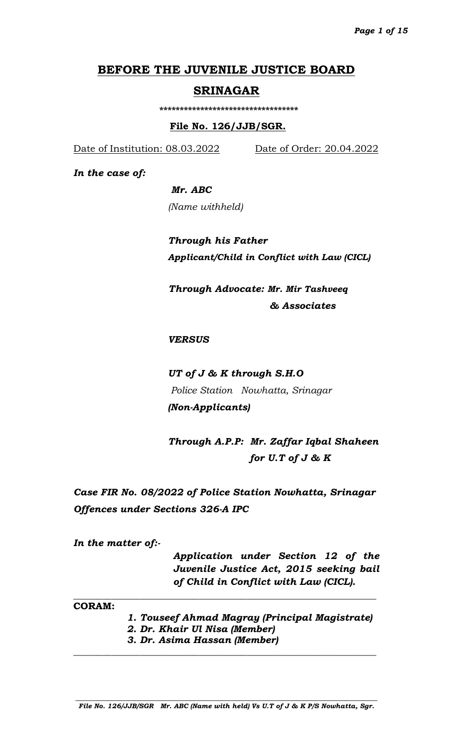# **BEFORE THE JUVENILE JUSTICE BOARD**

### **SRINAGAR**

 **\*\*\*\*\*\*\*\*\*\*\*\*\*\*\*\*\*\*\*\*\*\*\*\*\*\*\*\*\*\*\*\*\*\***

### **File No. 126/JJB/SGR.**

Date of Institution: 08.03.2022 Date of Order: 20.04.2022

*In the case of:*

### *Mr. ABC*

*(Name withheld)*

*Through his Father Applicant/Child in Conflict with Law (CICL)*

 *Through Advocate: Mr. Mir Tashveeq & Associates*

### *VERSUS*

*UT of J & K through S.H.O Police Station Nowhatta, Srinagar (Non-Applicants)*

*Through A.P.P: Mr. Zaffar Iqbal Shaheen for U.T of J & K* 

*Case FIR No. 08/2022 of Police Station Nowhatta, Srinagar Offences under Sections 326-A IPC*

\_\_\_\_\_\_\_\_\_\_\_\_\_\_\_\_\_\_\_\_\_\_\_\_\_\_\_\_\_\_\_\_\_\_\_\_\_\_\_\_\_\_\_\_\_\_\_\_\_\_\_\_\_\_\_\_\_\_\_\_\_\_\_

*In the matter of:-*

*Application under Section 12 of the Juvenile Justice Act, 2015 seeking bail of Child in Conflict with Law (CICL).*

**CORAM:**

*1. Touseef Ahmad Magray (Principal Magistrate)*

- *2. Dr. Khair Ul Nisa (Member)*
- *3. Dr. Asima Hassan (Member)*

**\_\_\_\_\_\_\_\_\_\_\_\_\_\_\_\_\_\_\_\_\_\_\_\_\_\_\_\_\_\_\_\_\_\_\_\_\_\_\_\_\_\_\_\_\_\_\_\_\_\_\_\_\_\_\_\_\_\_\_\_\_\_\_**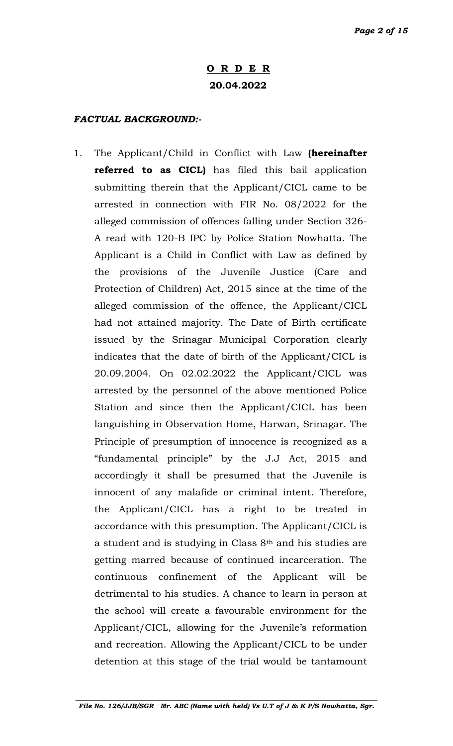## **O R D E R 20.04.2022**

### *FACTUAL BACKGROUND:-*

1. The Applicant/Child in Conflict with Law **(hereinafter referred to as CICL)** has filed this bail application submitting therein that the Applicant/CICL came to be arrested in connection with FIR No. 08/2022 for the alleged commission of offences falling under Section 326- A read with 120-B IPC by Police Station Nowhatta. The Applicant is a Child in Conflict with Law as defined by the provisions of the Juvenile Justice (Care and Protection of Children) Act, 2015 since at the time of the alleged commission of the offence, the Applicant/CICL had not attained majority. The Date of Birth certificate issued by the Srinagar Municipal Corporation clearly indicates that the date of birth of the Applicant/CICL is 20.09.2004. On 02.02.2022 the Applicant/CICL was arrested by the personnel of the above mentioned Police Station and since then the Applicant/CICL has been languishing in Observation Home, Harwan, Srinagar. The Principle of presumption of innocence is recognized as a "fundamental principle" by the J.J Act, 2015 and accordingly it shall be presumed that the Juvenile is innocent of any malafide or criminal intent. Therefore, the Applicant/CICL has a right to be treated in accordance with this presumption. The Applicant/CICL is a student and is studying in Class 8th and his studies are getting marred because of continued incarceration. The continuous confinement of the Applicant will be detrimental to his studies. A chance to learn in person at the school will create a favourable environment for the Applicant/CICL, allowing for the Juvenile's reformation and recreation. Allowing the Applicant/CICL to be under detention at this stage of the trial would be tantamount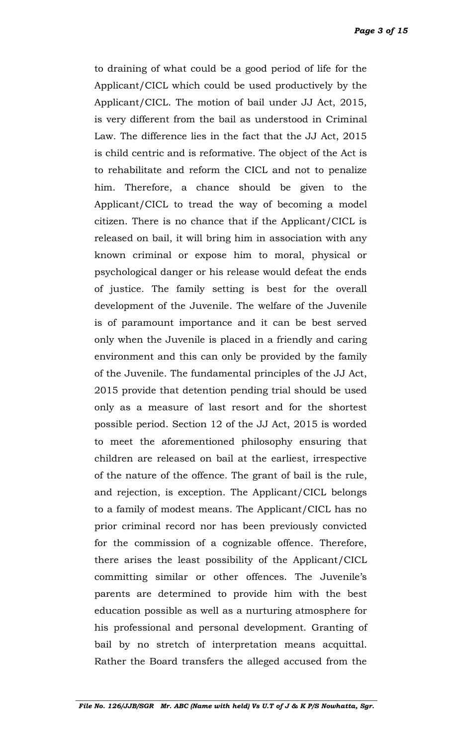*Page 3 of 15*

to draining of what could be a good period of life for the Applicant/CICL which could be used productively by the Applicant/CICL. The motion of bail under JJ Act, 2015, is very different from the bail as understood in Criminal Law. The difference lies in the fact that the JJ Act, 2015 is child centric and is reformative. The object of the Act is to rehabilitate and reform the CICL and not to penalize him. Therefore, a chance should be given to the Applicant/CICL to tread the way of becoming a model citizen. There is no chance that if the Applicant/CICL is released on bail, it will bring him in association with any known criminal or expose him to moral, physical or psychological danger or his release would defeat the ends of justice. The family setting is best for the overall development of the Juvenile. The welfare of the Juvenile is of paramount importance and it can be best served only when the Juvenile is placed in a friendly and caring environment and this can only be provided by the family of the Juvenile. The fundamental principles of the JJ Act, 2015 provide that detention pending trial should be used only as a measure of last resort and for the shortest possible period. Section 12 of the JJ Act, 2015 is worded to meet the aforementioned philosophy ensuring that children are released on bail at the earliest, irrespective of the nature of the offence. The grant of bail is the rule, and rejection, is exception. The Applicant/CICL belongs to a family of modest means. The Applicant/CICL has no prior criminal record nor has been previously convicted for the commission of a cognizable offence. Therefore, there arises the least possibility of the Applicant/CICL committing similar or other offences. The Juvenile's parents are determined to provide him with the best education possible as well as a nurturing atmosphere for his professional and personal development. Granting of bail by no stretch of interpretation means acquittal. Rather the Board transfers the alleged accused from the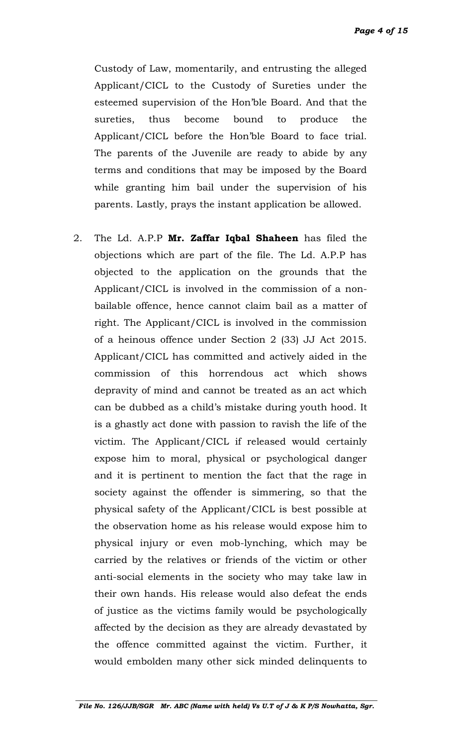*Page 4 of 15*

Custody of Law, momentarily, and entrusting the alleged Applicant/CICL to the Custody of Sureties under the esteemed supervision of the Hon'ble Board. And that the sureties, thus become bound to produce the Applicant/CICL before the Hon'ble Board to face trial. The parents of the Juvenile are ready to abide by any terms and conditions that may be imposed by the Board while granting him bail under the supervision of his parents. Lastly, prays the instant application be allowed.

2. The Ld. A.P.P **Mr. Zaffar Iqbal Shaheen** has filed the objections which are part of the file. The Ld. A.P.P has objected to the application on the grounds that the Applicant/CICL is involved in the commission of a nonbailable offence, hence cannot claim bail as a matter of right. The Applicant/CICL is involved in the commission of a heinous offence under Section 2 (33) JJ Act 2015. Applicant/CICL has committed and actively aided in the commission of this horrendous act which shows depravity of mind and cannot be treated as an act which can be dubbed as a child's mistake during youth hood. It is a ghastly act done with passion to ravish the life of the victim. The Applicant/CICL if released would certainly expose him to moral, physical or psychological danger and it is pertinent to mention the fact that the rage in society against the offender is simmering, so that the physical safety of the Applicant/CICL is best possible at the observation home as his release would expose him to physical injury or even mob-lynching, which may be carried by the relatives or friends of the victim or other anti-social elements in the society who may take law in their own hands. His release would also defeat the ends of justice as the victims family would be psychologically affected by the decision as they are already devastated by the offence committed against the victim. Further, it would embolden many other sick minded delinquents to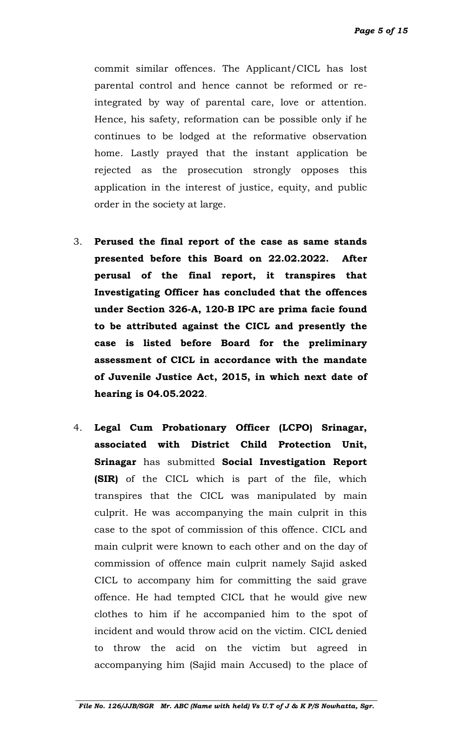*Page 5 of 15*

commit similar offences. The Applicant/CICL has lost parental control and hence cannot be reformed or reintegrated by way of parental care, love or attention. Hence, his safety, reformation can be possible only if he continues to be lodged at the reformative observation home. Lastly prayed that the instant application be rejected as the prosecution strongly opposes this application in the interest of justice, equity, and public order in the society at large.

- 3. **Perused the final report of the case as same stands presented before this Board on 22.02.2022. After perusal of the final report, it transpires that Investigating Officer has concluded that the offences under Section 326-A, 120-B IPC are prima facie found to be attributed against the CICL and presently the case is listed before Board for the preliminary assessment of CICL in accordance with the mandate of Juvenile Justice Act, 2015, in which next date of hearing is 04.05.2022**.
- 4. **Legal Cum Probationary Officer (LCPO) Srinagar, associated with District Child Protection Unit, Srinagar** has submitted **Social Investigation Report (SIR)** of the CICL which is part of the file, which transpires that the CICL was manipulated by main culprit. He was accompanying the main culprit in this case to the spot of commission of this offence. CICL and main culprit were known to each other and on the day of commission of offence main culprit namely Sajid asked CICL to accompany him for committing the said grave offence. He had tempted CICL that he would give new clothes to him if he accompanied him to the spot of incident and would throw acid on the victim. CICL denied to throw the acid on the victim but agreed in accompanying him (Sajid main Accused) to the place of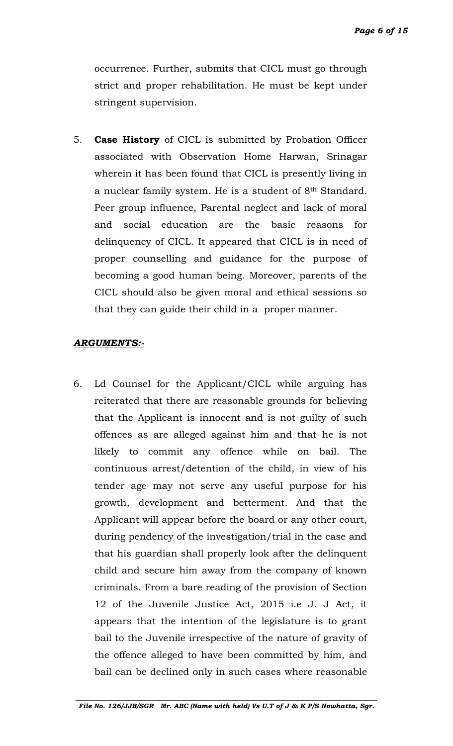occurrence. Further, submits that CICL must go through strict and proper rehabilitation. He must be kept under stringent supervision.

5. **Case History** of CICL is submitted by Probation Officer associated with Observation Home Harwan, Srinagar wherein it has been found that CICL is presently living in a nuclear family system. He is a student of 8th Standard. Peer group influence, Parental neglect and lack of moral and social education are the basic reasons for delinquency of CICL. It appeared that CICL is in need of proper counselling and guidance for the purpose of becoming a good human being. Moreover, parents of the CICL should also be given moral and ethical sessions so that they can guide their child in a proper manner.

### *ARGUMENTS:-*

6. Ld Counsel for the Applicant/CICL while arguing has reiterated that there are reasonable grounds for believing that the Applicant is innocent and is not guilty of such offences as are alleged against him and that he is not likely to commit any offence while on bail. The continuous arrest/detention of the child, in view of his tender age may not serve any useful purpose for his growth, development and betterment. And that the Applicant will appear before the board or any other court, during pendency of the investigation/trial in the case and that his guardian shall properly look after the delinquent child and secure him away from the company of known criminals. From a bare reading of the provision of Section 12 of the Juvenile Justice Act, 2015 i.e J. J Act, it appears that the intention of the legislature is to grant bail to the Juvenile irrespective of the nature of gravity of the offence alleged to have been committed by him, and bail can be declined only in such cases where reasonable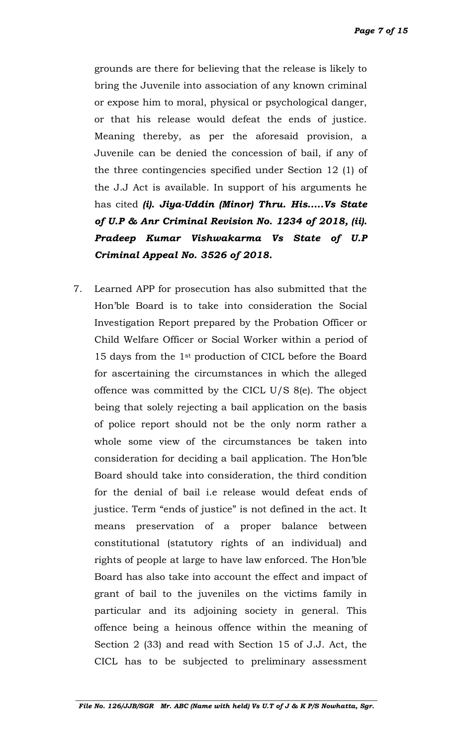*Page 7 of 15*

grounds are there for believing that the release is likely to bring the Juvenile into association of any known criminal or expose him to moral, physical or psychological danger, or that his release would defeat the ends of justice. Meaning thereby, as per the aforesaid provision, a Juvenile can be denied the concession of bail, if any of the three contingencies specified under Section 12 (1) of the J.J Act is available. In support of his arguments he has cited *(i). Jiya-Uddin (Minor) Thru. His.....Vs State of U.P & Anr Criminal Revision No. 1234 of 2018, (ii). Pradeep Kumar Vishwakarma Vs State of U.P Criminal Appeal No. 3526 of 2018.*

7. Learned APP for prosecution has also submitted that the Hon'ble Board is to take into consideration the Social Investigation Report prepared by the Probation Officer or Child Welfare Officer or Social Worker within a period of 15 days from the 1st production of CICL before the Board for ascertaining the circumstances in which the alleged offence was committed by the CICL U/S 8(e). The object being that solely rejecting a bail application on the basis of police report should not be the only norm rather a whole some view of the circumstances be taken into consideration for deciding a bail application. The Hon'ble Board should take into consideration, the third condition for the denial of bail i.e release would defeat ends of justice. Term "ends of justice" is not defined in the act. It means preservation of a proper balance between constitutional (statutory rights of an individual) and rights of people at large to have law enforced. The Hon'ble Board has also take into account the effect and impact of grant of bail to the juveniles on the victims family in particular and its adjoining society in general. This offence being a heinous offence within the meaning of Section 2 (33) and read with Section 15 of J.J. Act, the CICL has to be subjected to preliminary assessment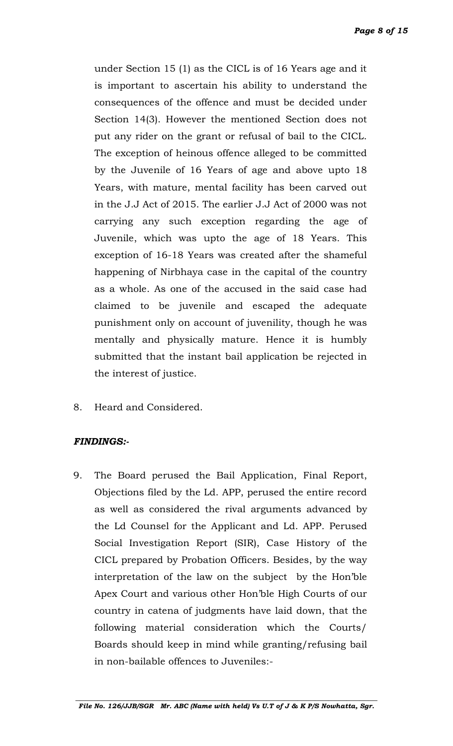under Section 15 (1) as the CICL is of 16 Years age and it is important to ascertain his ability to understand the consequences of the offence and must be decided under Section 14(3). However the mentioned Section does not put any rider on the grant or refusal of bail to the CICL. The exception of heinous offence alleged to be committed by the Juvenile of 16 Years of age and above upto 18 Years, with mature, mental facility has been carved out in the J.J Act of 2015. The earlier J.J Act of 2000 was not carrying any such exception regarding the age of Juvenile, which was upto the age of 18 Years. This exception of 16-18 Years was created after the shameful happening of Nirbhaya case in the capital of the country as a whole. As one of the accused in the said case had claimed to be juvenile and escaped the adequate punishment only on account of juvenility, though he was mentally and physically mature. Hence it is humbly submitted that the instant bail application be rejected in the interest of justice.

8. Heard and Considered.

### *FINDINGS:-*

9. The Board perused the Bail Application, Final Report, Objections filed by the Ld. APP, perused the entire record as well as considered the rival arguments advanced by the Ld Counsel for the Applicant and Ld. APP. Perused Social Investigation Report (SIR), Case History of the CICL prepared by Probation Officers. Besides, by the way interpretation of the law on the subject by the Hon'ble Apex Court and various other Hon'ble High Courts of our country in catena of judgments have laid down, that the following material consideration which the Courts/ Boards should keep in mind while granting/refusing bail in non-bailable offences to Juveniles:-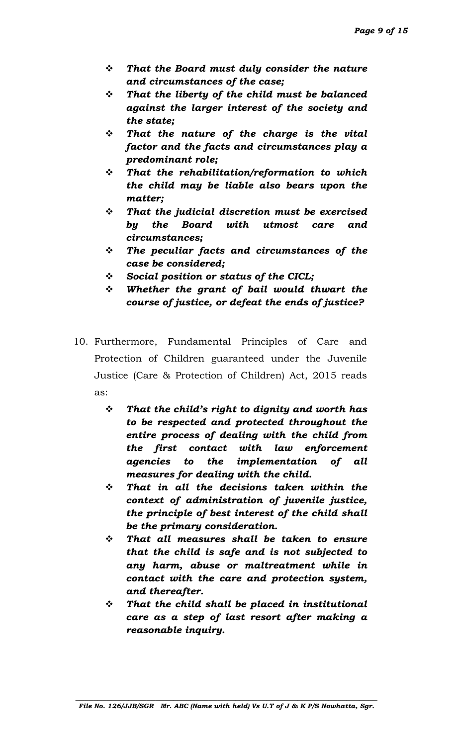- *That the Board must duly consider the nature and circumstances of the case;*
- *That the liberty of the child must be balanced against the larger interest of the society and the state;*
- *That the nature of the charge is the vital factor and the facts and circumstances play a predominant role;*
- *That the rehabilitation/reformation to which the child may be liable also bears upon the matter;*
- *That the judicial discretion must be exercised by the Board with utmost care and circumstances;*
- *The peculiar facts and circumstances of the case be considered;*
- *Social position or status of the CICL;*
- *Whether the grant of bail would thwart the course of justice, or defeat the ends of justice?*
- 10. Furthermore, Fundamental Principles of Care and Protection of Children guaranteed under the Juvenile Justice (Care & Protection of Children) Act, 2015 reads as:
	- *That the child's right to dignity and worth has to be respected and protected throughout the entire process of dealing with the child from the first contact with law enforcement agencies to the implementation of all measures for dealing with the child.*
	- *That in all the decisions taken within the context of administration of juvenile justice, the principle of best interest of the child shall be the primary consideration.*
	- *That all measures shall be taken to ensure that the child is safe and is not subjected to any harm, abuse or maltreatment while in contact with the care and protection system, and thereafter.*
	- *That the child shall be placed in institutional care as a step of last resort after making a reasonable inquiry.*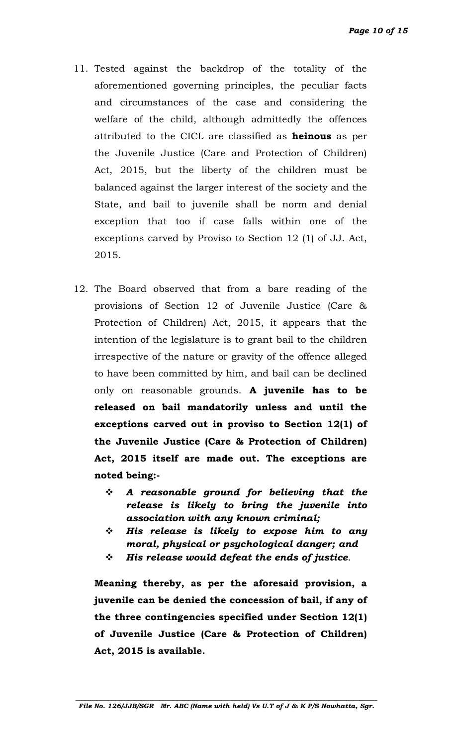- 11. Tested against the backdrop of the totality of the aforementioned governing principles, the peculiar facts and circumstances of the case and considering the welfare of the child, although admittedly the offences attributed to the CICL are classified as **heinous** as per the Juvenile Justice (Care and Protection of Children) Act, 2015, but the liberty of the children must be balanced against the larger interest of the society and the State, and bail to juvenile shall be norm and denial exception that too if case falls within one of the exceptions carved by Proviso to Section 12 (1) of JJ. Act, 2015.
- 12. The Board observed that from a bare reading of the provisions of Section 12 of Juvenile Justice (Care & Protection of Children) Act, 2015, it appears that the intention of the legislature is to grant bail to the children irrespective of the nature or gravity of the offence alleged to have been committed by him, and bail can be declined only on reasonable grounds. **A juvenile has to be released on bail mandatorily unless and until the exceptions carved out in proviso to Section 12(1) of the Juvenile Justice (Care & Protection of Children) Act, 2015 itself are made out. The exceptions are noted being:-**
	- *A reasonable ground for believing that the release is likely to bring the juvenile into association with any known criminal;*
	- *His release is likely to expose him to any moral, physical or psychological danger; and*
	- *His release would defeat the ends of justice*.

**Meaning thereby, as per the aforesaid provision, a juvenile can be denied the concession of bail, if any of the three contingencies specified under Section 12(1) of Juvenile Justice (Care & Protection of Children) Act, 2015 is available.**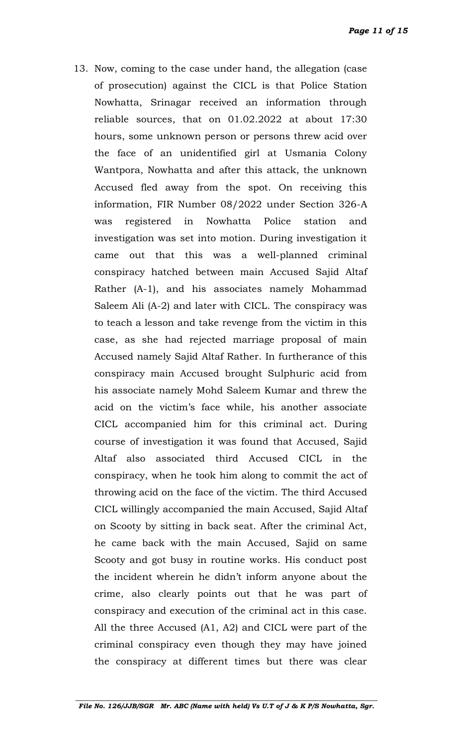13. Now, coming to the case under hand, the allegation (case of prosecution) against the CICL is that Police Station Nowhatta, Srinagar received an information through reliable sources, that on 01.02.2022 at about 17:30 hours, some unknown person or persons threw acid over the face of an unidentified girl at Usmania Colony Wantpora, Nowhatta and after this attack, the unknown Accused fled away from the spot. On receiving this information, FIR Number 08/2022 under Section 326-A was registered in Nowhatta Police station and investigation was set into motion. During investigation it came out that this was a well-planned criminal conspiracy hatched between main Accused Sajid Altaf Rather (A-1), and his associates namely Mohammad Saleem Ali (A-2) and later with CICL. The conspiracy was to teach a lesson and take revenge from the victim in this case, as she had rejected marriage proposal of main Accused namely Sajid Altaf Rather. In furtherance of this conspiracy main Accused brought Sulphuric acid from his associate namely Mohd Saleem Kumar and threw the acid on the victim's face while, his another associate CICL accompanied him for this criminal act. During course of investigation it was found that Accused, Sajid Altaf also associated third Accused CICL in the conspiracy, when he took him along to commit the act of throwing acid on the face of the victim. The third Accused CICL willingly accompanied the main Accused, Sajid Altaf on Scooty by sitting in back seat. After the criminal Act, he came back with the main Accused, Sajid on same Scooty and got busy in routine works. His conduct post the incident wherein he didn't inform anyone about the crime, also clearly points out that he was part of conspiracy and execution of the criminal act in this case. All the three Accused (A1, A2) and CICL were part of the criminal conspiracy even though they may have joined the conspiracy at different times but there was clear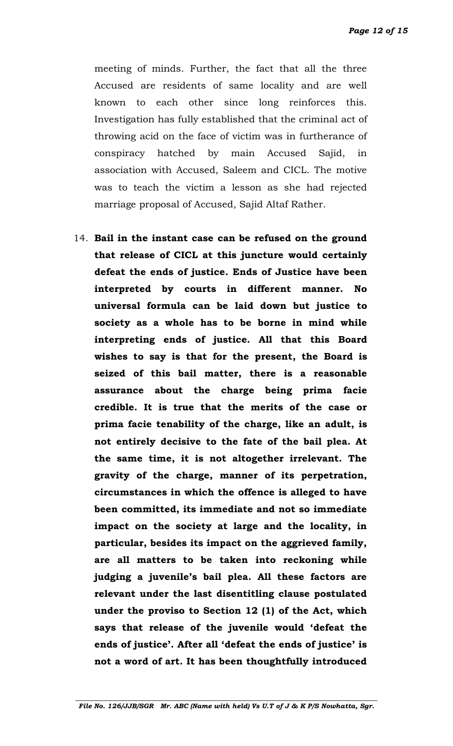*Page 12 of 15*

meeting of minds. Further, the fact that all the three Accused are residents of same locality and are well known to each other since long reinforces this. Investigation has fully established that the criminal act of throwing acid on the face of victim was in furtherance of conspiracy hatched by main Accused Sajid, in association with Accused, Saleem and CICL. The motive was to teach the victim a lesson as she had rejected marriage proposal of Accused, Sajid Altaf Rather.

14. **Bail in the instant case can be refused on the ground that release of CICL at this juncture would certainly defeat the ends of justice. Ends of Justice have been interpreted by courts in different manner. No universal formula can be laid down but justice to society as a whole has to be borne in mind while interpreting ends of justice. All that this Board wishes to say is that for the present, the Board is seized of this bail matter, there is a reasonable assurance about the charge being prima facie credible. It is true that the merits of the case or prima facie tenability of the charge, like an adult, is not entirely decisive to the fate of the bail plea. At the same time, it is not altogether irrelevant. The gravity of the charge, manner of its perpetration, circumstances in which the offence is alleged to have been committed, its immediate and not so immediate impact on the society at large and the locality, in particular, besides its impact on the aggrieved family, are all matters to be taken into reckoning while judging a juvenile's bail plea. All these factors are relevant under the last disentitling clause postulated under the proviso to Section 12 (1) of the Act, which says that release of the juvenile would 'defeat the ends of justice'. After all 'defeat the ends of justice' is not a word of art. It has been thoughtfully introduced**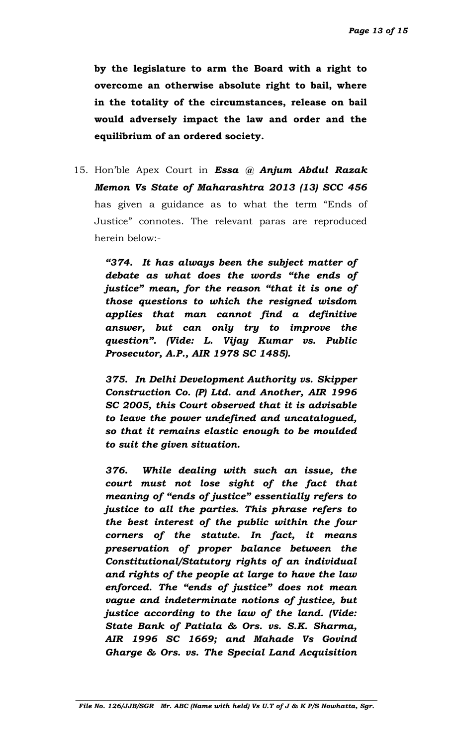**by the legislature to arm the Board with a right to overcome an otherwise absolute right to bail, where in the totality of the circumstances, release on bail would adversely impact the law and order and the equilibrium of an ordered society.** 

15. Hon'ble Apex Court in *Essa @ Anjum Abdul Razak Memon Vs State of Maharashtra 2013 (13) SCC 456* has given a guidance as to what the term "Ends of Justice" connotes. The relevant paras are reproduced herein below:-

> *"374. It has always been the subject matter of debate as what does the words "the ends of justice" mean, for the reason "that it is one of those questions to which the resigned wisdom applies that man cannot find a definitive answer, but can only try to improve the question". (Vide: L. Vijay Kumar vs. Public Prosecutor, A.P., AIR 1978 SC 1485).*

> *375. In Delhi Development Authority vs. Skipper Construction Co. (P) Ltd. and Another, AIR 1996 SC 2005, this Court observed that it is advisable to leave the power undefined and uncatalogued, so that it remains elastic enough to be moulded to suit the given situation.*

> *376. While dealing with such an issue, the court must not lose sight of the fact that meaning of "ends of justice" essentially refers to justice to all the parties. This phrase refers to the best interest of the public within the four corners of the statute. In fact, it means preservation of proper balance between the Constitutional/Statutory rights of an individual and rights of the people at large to have the law enforced. The "ends of justice" does not mean vague and indeterminate notions of justice, but justice according to the law of the land. (Vide: State Bank of Patiala & Ors. vs. S.K. Sharma, AIR 1996 SC 1669; and Mahade Vs Govind Gharge & Ors. vs. The Special Land Acquisition*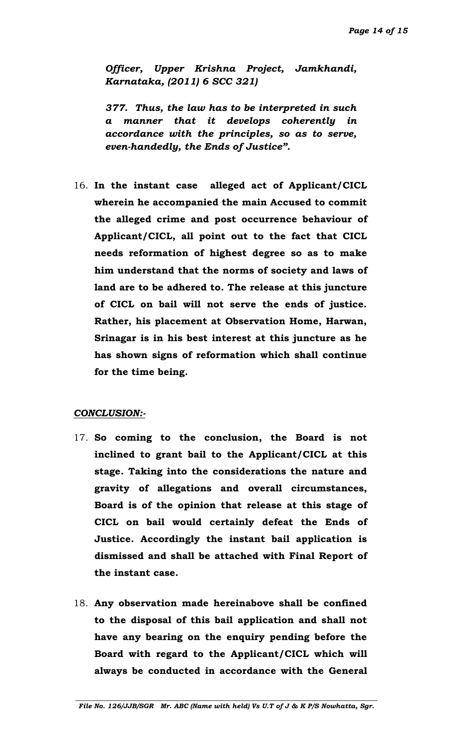*Officer, Upper Krishna Project, Jamkhandi, Karnataka, (2011) 6 SCC 321)*

*377. Thus, the law has to be interpreted in such a manner that it develops coherently in accordance with the principles, so as to serve, even-handedly, the Ends of Justice".*

16. **In the instant case alleged act of Applicant/CICL wherein he accompanied the main Accused to commit the alleged crime and post occurrence behaviour of Applicant/CICL, all point out to the fact that CICL needs reformation of highest degree so as to make him understand that the norms of society and laws of land are to be adhered to. The release at this juncture of CICL on bail will not serve the ends of justice. Rather, his placement at Observation Home, Harwan, Srinagar is in his best interest at this juncture as he has shown signs of reformation which shall continue for the time being.**

#### *CONCLUSION:-*

- 17. **So coming to the conclusion, the Board is not inclined to grant bail to the Applicant/CICL at this stage. Taking into the considerations the nature and gravity of allegations and overall circumstances, Board is of the opinion that release at this stage of CICL on bail would certainly defeat the Ends of Justice. Accordingly the instant bail application is dismissed and shall be attached with Final Report of the instant case.**
- 18. **Any observation made hereinabove shall be confined to the disposal of this bail application and shall not have any bearing on the enquiry pending before the Board with regard to the Applicant/CICL which will always be conducted in accordance with the General**